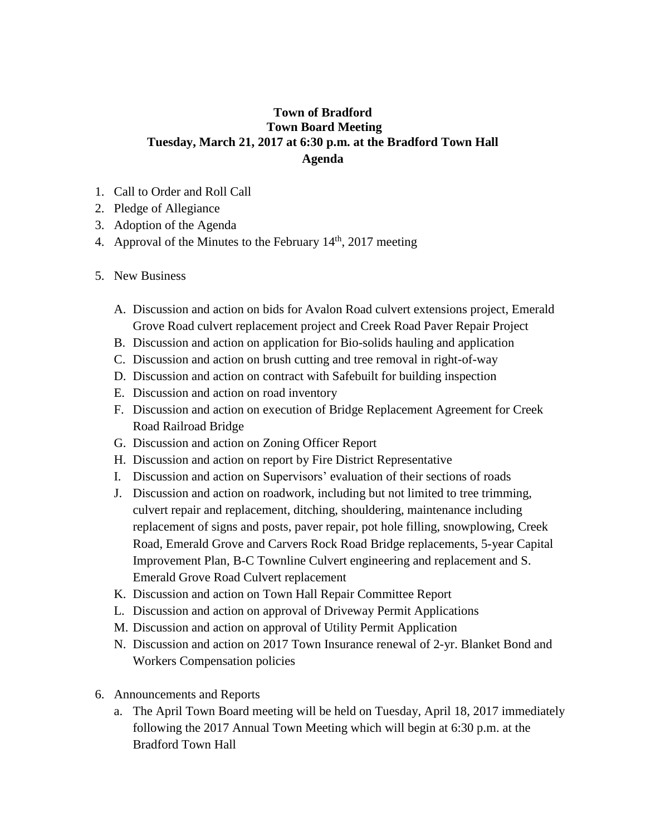## **Town of Bradford Town Board Meeting Tuesday, March 21, 2017 at 6:30 p.m. at the Bradford Town Hall Agenda**

- 1. Call to Order and Roll Call
- 2. Pledge of Allegiance
- 3. Adoption of the Agenda
- 4. Approval of the Minutes to the February  $14<sup>th</sup>$ , 2017 meeting
- 5. New Business
	- A. Discussion and action on bids for Avalon Road culvert extensions project, Emerald Grove Road culvert replacement project and Creek Road Paver Repair Project
	- B. Discussion and action on application for Bio-solids hauling and application
	- C. Discussion and action on brush cutting and tree removal in right-of-way
	- D. Discussion and action on contract with Safebuilt for building inspection
	- E. Discussion and action on road inventory
	- F. Discussion and action on execution of Bridge Replacement Agreement for Creek Road Railroad Bridge
	- G. Discussion and action on Zoning Officer Report
	- H. Discussion and action on report by Fire District Representative
	- I. Discussion and action on Supervisors' evaluation of their sections of roads
	- J. Discussion and action on roadwork, including but not limited to tree trimming, culvert repair and replacement, ditching, shouldering, maintenance including replacement of signs and posts, paver repair, pot hole filling, snowplowing, Creek Road, Emerald Grove and Carvers Rock Road Bridge replacements, 5-year Capital Improvement Plan, B-C Townline Culvert engineering and replacement and S. Emerald Grove Road Culvert replacement
	- K. Discussion and action on Town Hall Repair Committee Report
	- L. Discussion and action on approval of Driveway Permit Applications
	- M. Discussion and action on approval of Utility Permit Application
	- N. Discussion and action on 2017 Town Insurance renewal of 2-yr. Blanket Bond and Workers Compensation policies
- 6. Announcements and Reports
	- a. The April Town Board meeting will be held on Tuesday, April 18, 2017 immediately following the 2017 Annual Town Meeting which will begin at 6:30 p.m. at the Bradford Town Hall